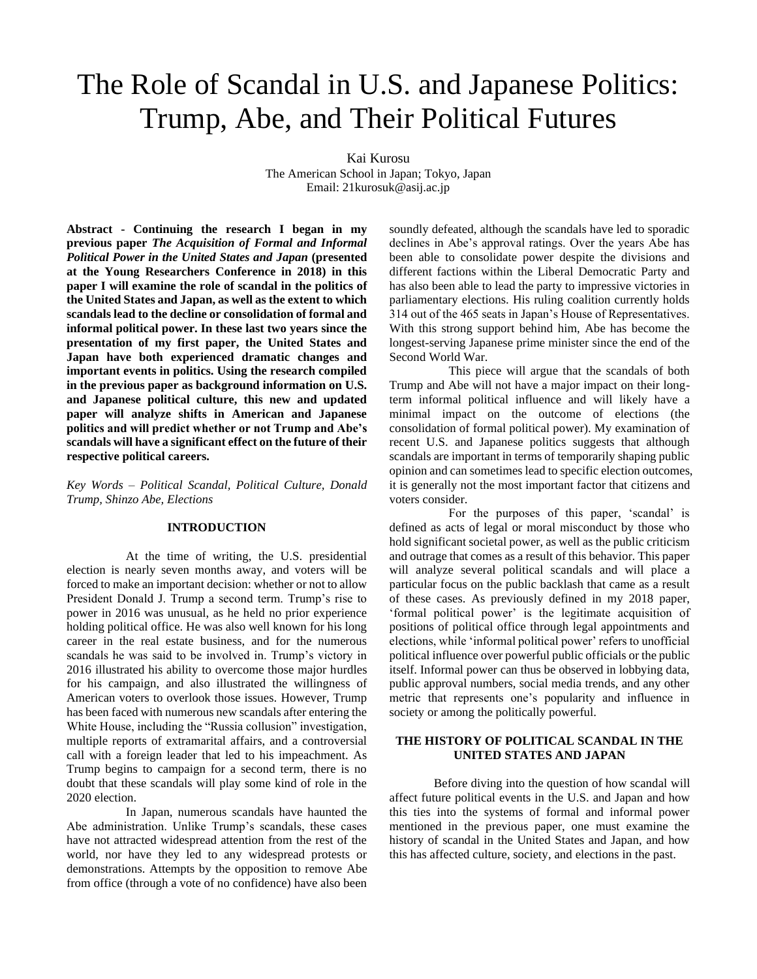# The Role of Scandal in U.S. and Japanese Politics: Trump, Abe, and Their Political Futures

Kai Kurosu

The American School in Japan; Tokyo, Japan Email: 21kurosuk@asij.ac.jp

**Abstract - Continuing the research I began in my previous paper** *The Acquisition of Formal and Informal Political Power in the United States and Japan* **(presented at the Young Researchers Conference in 2018) in this paper I will examine the role of scandal in the politics of the United States and Japan, as well as the extent to which scandals lead to the decline or consolidation of formal and informal political power. In these last two years since the presentation of my first paper, the United States and Japan have both experienced dramatic changes and important events in politics. Using the research compiled in the previous paper as background information on U.S. and Japanese political culture, this new and updated paper will analyze shifts in American and Japanese politics and will predict whether or not Trump and Abe's scandals will have a significant effect on the future of their respective political careers.** 

*Key Words* – *Political Scandal, Political Culture, Donald Trump, Shinzo Abe, Elections*

## **INTRODUCTION**

At the time of writing, the U.S. presidential election is nearly seven months away, and voters will be forced to make an important decision: whether or not to allow President Donald J. Trump a second term. Trump's rise to power in 2016 was unusual, as he held no prior experience holding political office. He was also well known for his long career in the real estate business, and for the numerous scandals he was said to be involved in. Trump's victory in 2016 illustrated his ability to overcome those major hurdles for his campaign, and also illustrated the willingness of American voters to overlook those issues. However, Trump has been faced with numerous new scandals after entering the White House, including the "Russia collusion" investigation, multiple reports of extramarital affairs, and a controversial call with a foreign leader that led to his impeachment. As Trump begins to campaign for a second term, there is no doubt that these scandals will play some kind of role in the 2020 election.

In Japan, numerous scandals have haunted the Abe administration. Unlike Trump's scandals, these cases have not attracted widespread attention from the rest of the world, nor have they led to any widespread protests or demonstrations. Attempts by the opposition to remove Abe from office (through a vote of no confidence) have also been

soundly defeated, although the scandals have led to sporadic declines in Abe's approval ratings. Over the years Abe has been able to consolidate power despite the divisions and different factions within the Liberal Democratic Party and has also been able to lead the party to impressive victories in parliamentary elections. His ruling coalition currently holds 314 out of the 465 seats in Japan's House of Representatives. With this strong support behind him, Abe has become the longest-serving Japanese prime minister since the end of the Second World War.

This piece will argue that the scandals of both Trump and Abe will not have a major impact on their longterm informal political influence and will likely have a minimal impact on the outcome of elections (the consolidation of formal political power). My examination of recent U.S. and Japanese politics suggests that although scandals are important in terms of temporarily shaping public opinion and can sometimes lead to specific election outcomes, it is generally not the most important factor that citizens and voters consider.

For the purposes of this paper, 'scandal' is defined as acts of legal or moral misconduct by those who hold significant societal power, as well as the public criticism and outrage that comes as a result of this behavior. This paper will analyze several political scandals and will place a particular focus on the public backlash that came as a result of these cases. As previously defined in my 2018 paper, 'formal political power' is the legitimate acquisition of positions of political office through legal appointments and elections, while 'informal political power' refers to unofficial political influence over powerful public officials or the public itself. Informal power can thus be observed in lobbying data, public approval numbers, social media trends, and any other metric that represents one's popularity and influence in society or among the politically powerful.

### **THE HISTORY OF POLITICAL SCANDAL IN THE UNITED STATES AND JAPAN**

Before diving into the question of how scandal will affect future political events in the U.S. and Japan and how this ties into the systems of formal and informal power mentioned in the previous paper, one must examine the history of scandal in the United States and Japan, and how this has affected culture, society, and elections in the past.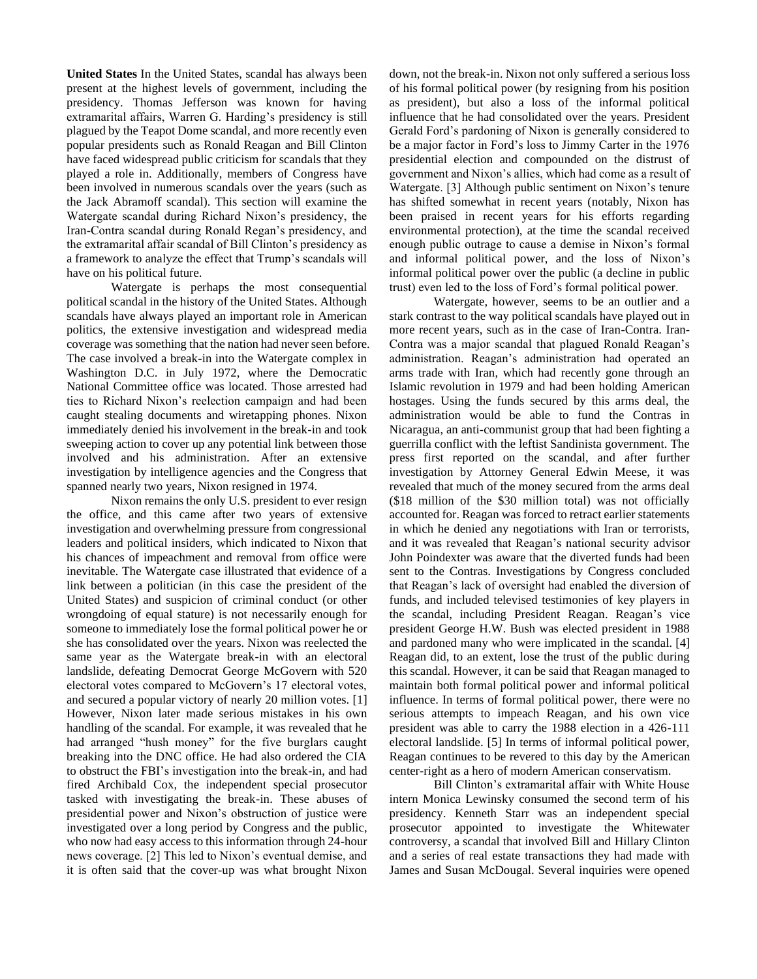**United States** In the United States, scandal has always been present at the highest levels of government, including the presidency. Thomas Jefferson was known for having extramarital affairs, Warren G. Harding's presidency is still plagued by the Teapot Dome scandal, and more recently even popular presidents such as Ronald Reagan and Bill Clinton have faced widespread public criticism for scandals that they played a role in. Additionally, members of Congress have been involved in numerous scandals over the years (such as the Jack Abramoff scandal). This section will examine the Watergate scandal during Richard Nixon's presidency, the Iran-Contra scandal during Ronald Regan's presidency, and the extramarital affair scandal of Bill Clinton's presidency as a framework to analyze the effect that Trump's scandals will have on his political future.

Watergate is perhaps the most consequential political scandal in the history of the United States. Although scandals have always played an important role in American politics, the extensive investigation and widespread media coverage was something that the nation had never seen before. The case involved a break-in into the Watergate complex in Washington D.C. in July 1972, where the Democratic National Committee office was located. Those arrested had ties to Richard Nixon's reelection campaign and had been caught stealing documents and wiretapping phones. Nixon immediately denied his involvement in the break-in and took sweeping action to cover up any potential link between those involved and his administration. After an extensive investigation by intelligence agencies and the Congress that spanned nearly two years, Nixon resigned in 1974.

Nixon remains the only U.S. president to ever resign the office, and this came after two years of extensive investigation and overwhelming pressure from congressional leaders and political insiders, which indicated to Nixon that his chances of impeachment and removal from office were inevitable. The Watergate case illustrated that evidence of a link between a politician (in this case the president of the United States) and suspicion of criminal conduct (or other wrongdoing of equal stature) is not necessarily enough for someone to immediately lose the formal political power he or she has consolidated over the years. Nixon was reelected the same year as the Watergate break-in with an electoral landslide, defeating Democrat George McGovern with 520 electoral votes compared to McGovern's 17 electoral votes, and secured a popular victory of nearly 20 million votes. [1] However, Nixon later made serious mistakes in his own handling of the scandal. For example, it was revealed that he had arranged "hush money" for the five burglars caught breaking into the DNC office. He had also ordered the CIA to obstruct the FBI's investigation into the break-in, and had fired Archibald Cox, the independent special prosecutor tasked with investigating the break-in. These abuses of presidential power and Nixon's obstruction of justice were investigated over a long period by Congress and the public, who now had easy access to this information through 24-hour news coverage. [2] This led to Nixon's eventual demise, and it is often said that the cover-up was what brought Nixon down, not the break-in. Nixon not only suffered a serious loss of his formal political power (by resigning from his position as president), but also a loss of the informal political influence that he had consolidated over the years. President Gerald Ford's pardoning of Nixon is generally considered to be a major factor in Ford's loss to Jimmy Carter in the 1976 presidential election and compounded on the distrust of government and Nixon's allies, which had come as a result of Watergate. [3] Although public sentiment on Nixon's tenure has shifted somewhat in recent years (notably, Nixon has been praised in recent years for his efforts regarding environmental protection), at the time the scandal received enough public outrage to cause a demise in Nixon's formal and informal political power, and the loss of Nixon's informal political power over the public (a decline in public trust) even led to the loss of Ford's formal political power.

Watergate, however, seems to be an outlier and a stark contrast to the way political scandals have played out in more recent years, such as in the case of Iran-Contra. Iran-Contra was a major scandal that plagued Ronald Reagan's administration. Reagan's administration had operated an arms trade with Iran, which had recently gone through an Islamic revolution in 1979 and had been holding American hostages. Using the funds secured by this arms deal, the administration would be able to fund the Contras in Nicaragua, an anti-communist group that had been fighting a guerrilla conflict with the leftist Sandinista government. The press first reported on the scandal, and after further investigation by Attorney General Edwin Meese, it was revealed that much of the money secured from the arms deal (\$18 million of the \$30 million total) was not officially accounted for. Reagan was forced to retract earlier statements in which he denied any negotiations with Iran or terrorists, and it was revealed that Reagan's national security advisor John Poindexter was aware that the diverted funds had been sent to the Contras. Investigations by Congress concluded that Reagan's lack of oversight had enabled the diversion of funds, and included televised testimonies of key players in the scandal, including President Reagan. Reagan's vice president George H.W. Bush was elected president in 1988 and pardoned many who were implicated in the scandal. [4] Reagan did, to an extent, lose the trust of the public during this scandal. However, it can be said that Reagan managed to maintain both formal political power and informal political influence. In terms of formal political power, there were no serious attempts to impeach Reagan, and his own vice president was able to carry the 1988 election in a 426-111 electoral landslide. [5] In terms of informal political power, Reagan continues to be revered to this day by the American center-right as a hero of modern American conservatism.

Bill Clinton's extramarital affair with White House intern Monica Lewinsky consumed the second term of his presidency. Kenneth Starr was an independent special prosecutor appointed to investigate the Whitewater controversy, a scandal that involved Bill and Hillary Clinton and a series of real estate transactions they had made with James and Susan McDougal. Several inquiries were opened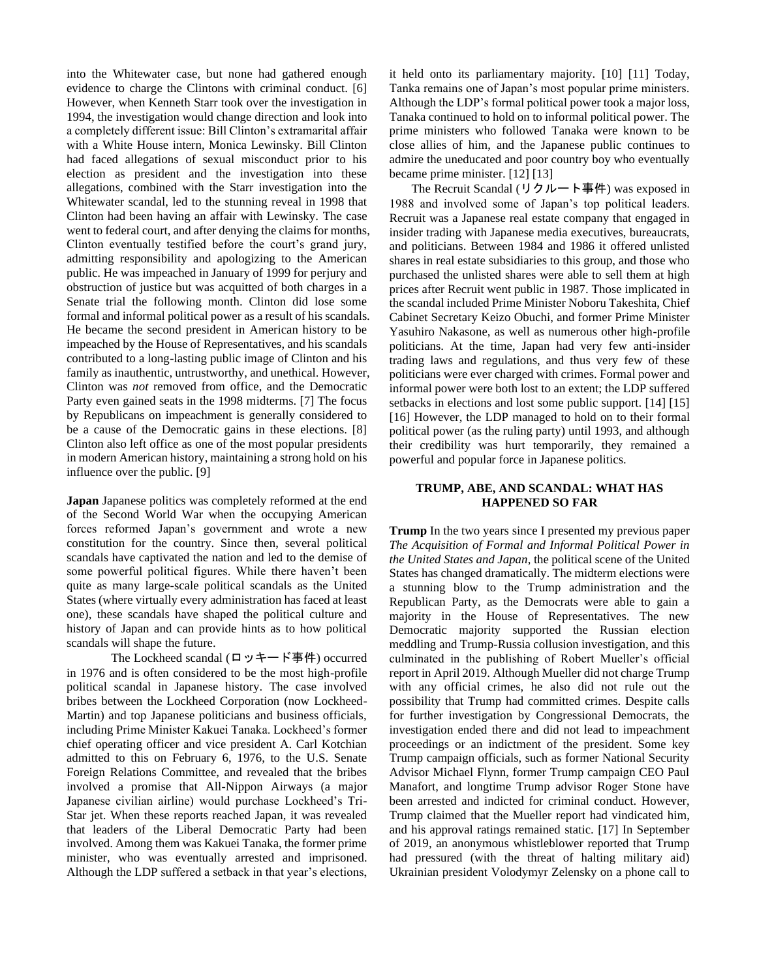into the Whitewater case, but none had gathered enough evidence to charge the Clintons with criminal conduct. [6] However, when Kenneth Starr took over the investigation in 1994, the investigation would change direction and look into a completely different issue: Bill Clinton's extramarital affair with a White House intern, Monica Lewinsky. Bill Clinton had faced allegations of sexual misconduct prior to his election as president and the investigation into these allegations, combined with the Starr investigation into the Whitewater scandal, led to the stunning reveal in 1998 that Clinton had been having an affair with Lewinsky. The case went to federal court, and after denying the claims for months, Clinton eventually testified before the court's grand jury, admitting responsibility and apologizing to the American public. He was impeached in January of 1999 for perjury and obstruction of justice but was acquitted of both charges in a Senate trial the following month. Clinton did lose some formal and informal political power as a result of his scandals. He became the second president in American history to be impeached by the House of Representatives, and his scandals contributed to a long-lasting public image of Clinton and his family as inauthentic, untrustworthy, and unethical. However, Clinton was *not* removed from office, and the Democratic Party even gained seats in the 1998 midterms. [7] The focus by Republicans on impeachment is generally considered to be a cause of the Democratic gains in these elections. [8] Clinton also left office as one of the most popular presidents in modern American history, maintaining a strong hold on his influence over the public. [9]

**Japan** Japanese politics was completely reformed at the end of the Second World War when the occupying American forces reformed Japan's government and wrote a new constitution for the country. Since then, several political scandals have captivated the nation and led to the demise of some powerful political figures. While there haven't been quite as many large-scale political scandals as the United States (where virtually every administration has faced at least one), these scandals have shaped the political culture and history of Japan and can provide hints as to how political scandals will shape the future.

The Lockheed scandal (ロッキード事件) occurred in 1976 and is often considered to be the most high-profile political scandal in Japanese history. The case involved bribes between the Lockheed Corporation (now Lockheed-Martin) and top Japanese politicians and business officials, including Prime Minister Kakuei Tanaka. Lockheed's former chief operating officer and vice president A. Carl Kotchian admitted to this on February 6, 1976, to the U.S. Senate Foreign Relations Committee, and revealed that the bribes involved a promise that All-Nippon Airways (a major Japanese civilian airline) would purchase Lockheed's Tri-Star jet. When these reports reached Japan, it was revealed that leaders of the Liberal Democratic Party had been involved. Among them was Kakuei Tanaka, the former prime minister, who was eventually arrested and imprisoned. Although the LDP suffered a setback in that year's elections,

it held onto its parliamentary majority. [10] [11] Today, Tanka remains one of Japan's most popular prime ministers. Although the LDP's formal political power took a major loss, Tanaka continued to hold on to informal political power. The prime ministers who followed Tanaka were known to be close allies of him, and the Japanese public continues to admire the uneducated and poor country boy who eventually became prime minister. [12] [13]

The Recruit Scandal (リクルート事件) was exposed in 1988 and involved some of Japan's top political leaders. Recruit was a Japanese real estate company that engaged in insider trading with Japanese media executives, bureaucrats, and politicians. Between 1984 and 1986 it offered unlisted shares in real estate subsidiaries to this group, and those who purchased the unlisted shares were able to sell them at high prices after Recruit went public in 1987. Those implicated in the scandal included Prime Minister Noboru Takeshita, Chief Cabinet Secretary Keizo Obuchi, and former Prime Minister Yasuhiro Nakasone, as well as numerous other high-profile politicians. At the time, Japan had very few anti-insider trading laws and regulations, and thus very few of these politicians were ever charged with crimes. Formal power and informal power were both lost to an extent; the LDP suffered setbacks in elections and lost some public support. [14] [15] [16] However, the LDP managed to hold on to their formal political power (as the ruling party) until 1993, and although their credibility was hurt temporarily, they remained a powerful and popular force in Japanese politics.

#### **TRUMP, ABE, AND SCANDAL: WHAT HAS HAPPENED SO FAR**

**Trump** In the two years since I presented my previous paper *The Acquisition of Formal and Informal Political Power in the United States and Japan*, the political scene of the United States has changed dramatically. The midterm elections were a stunning blow to the Trump administration and the Republican Party, as the Democrats were able to gain a majority in the House of Representatives. The new Democratic majority supported the Russian election meddling and Trump-Russia collusion investigation, and this culminated in the publishing of Robert Mueller's official report in April 2019. Although Mueller did not charge Trump with any official crimes, he also did not rule out the possibility that Trump had committed crimes. Despite calls for further investigation by Congressional Democrats, the investigation ended there and did not lead to impeachment proceedings or an indictment of the president. Some key Trump campaign officials, such as former National Security Advisor Michael Flynn, former Trump campaign CEO Paul Manafort, and longtime Trump advisor Roger Stone have been arrested and indicted for criminal conduct. However, Trump claimed that the Mueller report had vindicated him, and his approval ratings remained static. [17] In September of 2019, an anonymous whistleblower reported that Trump had pressured (with the threat of halting military aid) Ukrainian president Volodymyr Zelensky on a phone call to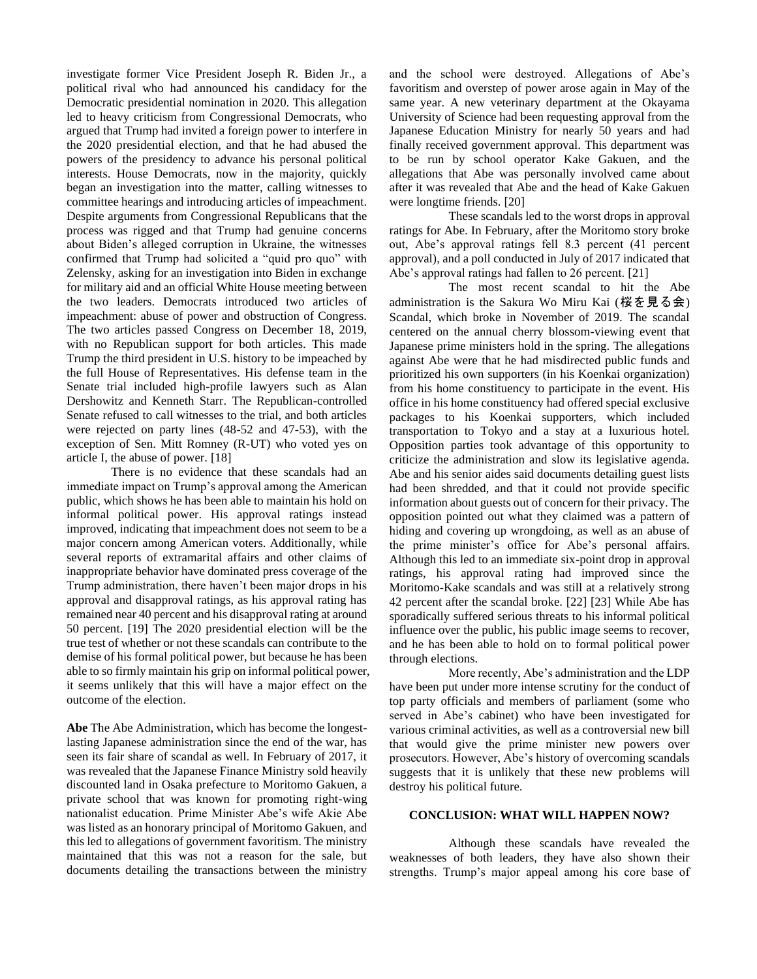investigate former Vice President Joseph R. Biden Jr., a political rival who had announced his candidacy for the Democratic presidential nomination in 2020. This allegation led to heavy criticism from Congressional Democrats, who argued that Trump had invited a foreign power to interfere in the 2020 presidential election, and that he had abused the powers of the presidency to advance his personal political interests. House Democrats, now in the majority, quickly began an investigation into the matter, calling witnesses to committee hearings and introducing articles of impeachment. Despite arguments from Congressional Republicans that the process was rigged and that Trump had genuine concerns about Biden's alleged corruption in Ukraine, the witnesses confirmed that Trump had solicited a "quid pro quo" with Zelensky, asking for an investigation into Biden in exchange for military aid and an official White House meeting between the two leaders. Democrats introduced two articles of impeachment: abuse of power and obstruction of Congress. The two articles passed Congress on December 18, 2019, with no Republican support for both articles. This made Trump the third president in U.S. history to be impeached by the full House of Representatives. His defense team in the Senate trial included high-profile lawyers such as Alan Dershowitz and Kenneth Starr. The Republican-controlled Senate refused to call witnesses to the trial, and both articles were rejected on party lines (48-52 and 47-53), with the exception of Sen. Mitt Romney (R-UT) who voted yes on article I, the abuse of power. [18]

There is no evidence that these scandals had an immediate impact on Trump's approval among the American public, which shows he has been able to maintain his hold on informal political power. His approval ratings instead improved, indicating that impeachment does not seem to be a major concern among American voters. Additionally, while several reports of extramarital affairs and other claims of inappropriate behavior have dominated press coverage of the Trump administration, there haven't been major drops in his approval and disapproval ratings, as his approval rating has remained near 40 percent and his disapproval rating at around 50 percent. [19] The 2020 presidential election will be the true test of whether or not these scandals can contribute to the demise of his formal political power, but because he has been able to so firmly maintain his grip on informal political power, it seems unlikely that this will have a major effect on the outcome of the election.

**Abe** The Abe Administration, which has become the longestlasting Japanese administration since the end of the war, has seen its fair share of scandal as well. In February of 2017, it was revealed that the Japanese Finance Ministry sold heavily discounted land in Osaka prefecture to Moritomo Gakuen, a private school that was known for promoting right-wing nationalist education. Prime Minister Abe's wife Akie Abe was listed as an honorary principal of Moritomo Gakuen, and this led to allegations of government favoritism. The ministry maintained that this was not a reason for the sale, but documents detailing the transactions between the ministry

and the school were destroyed. Allegations of Abe's favoritism and overstep of power arose again in May of the same year. A new veterinary department at the Okayama University of Science had been requesting approval from the Japanese Education Ministry for nearly 50 years and had finally received government approval. This department was to be run by school operator Kake Gakuen, and the allegations that Abe was personally involved came about after it was revealed that Abe and the head of Kake Gakuen were longtime friends. [20]

These scandals led to the worst drops in approval ratings for Abe. In February, after the Moritomo story broke out, Abe's approval ratings fell 8.3 percent (41 percent approval), and a poll conducted in July of 2017 indicated that Abe's approval ratings had fallen to 26 percent. [21]

The most recent scandal to hit the Abe administration is the Sakura Wo Miru Kai (桜を見る会) Scandal, which broke in November of 2019. The scandal centered on the annual cherry blossom-viewing event that Japanese prime ministers hold in the spring. The allegations against Abe were that he had misdirected public funds and prioritized his own supporters (in his Koenkai organization) from his home constituency to participate in the event. His office in his home constituency had offered special exclusive packages to his Koenkai supporters, which included transportation to Tokyo and a stay at a luxurious hotel. Opposition parties took advantage of this opportunity to criticize the administration and slow its legislative agenda. Abe and his senior aides said documents detailing guest lists had been shredded, and that it could not provide specific information about guests out of concern for their privacy. The opposition pointed out what they claimed was a pattern of hiding and covering up wrongdoing, as well as an abuse of the prime minister's office for Abe's personal affairs. Although this led to an immediate six-point drop in approval ratings, his approval rating had improved since the Moritomo-Kake scandals and was still at a relatively strong 42 percent after the scandal broke. [22] [23] While Abe has sporadically suffered serious threats to his informal political influence over the public, his public image seems to recover, and he has been able to hold on to formal political power through elections.

More recently, Abe's administration and the LDP have been put under more intense scrutiny for the conduct of top party officials and members of parliament (some who served in Abe's cabinet) who have been investigated for various criminal activities, as well as a controversial new bill that would give the prime minister new powers over prosecutors. However, Abe's history of overcoming scandals suggests that it is unlikely that these new problems will destroy his political future.

#### **CONCLUSION: WHAT WILL HAPPEN NOW?**

Although these scandals have revealed the weaknesses of both leaders, they have also shown their strengths. Trump's major appeal among his core base of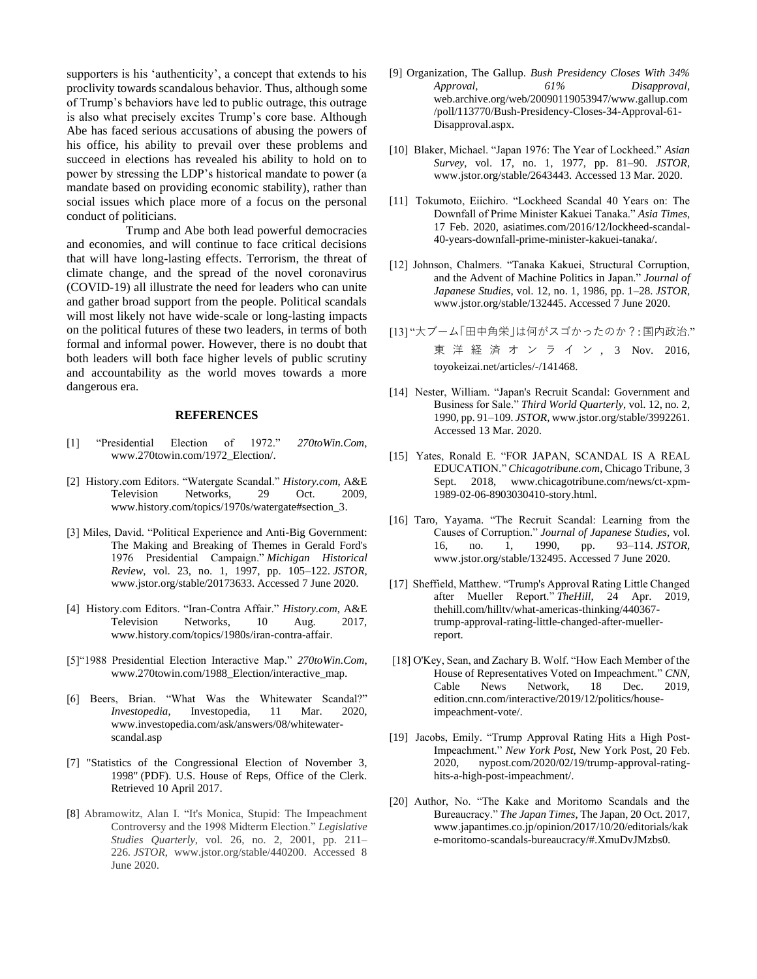supporters is his 'authenticity', a concept that extends to his proclivity towards scandalous behavior. Thus, although some of Trump's behaviors have led to public outrage, this outrage is also what precisely excites Trump's core base. Although Abe has faced serious accusations of abusing the powers of his office, his ability to prevail over these problems and succeed in elections has revealed his ability to hold on to power by stressing the LDP's historical mandate to power (a mandate based on providing economic stability), rather than social issues which place more of a focus on the personal conduct of politicians.

Trump and Abe both lead powerful democracies and economies, and will continue to face critical decisions that will have long-lasting effects. Terrorism, the threat of climate change, and the spread of the novel coronavirus (COVID-19) all illustrate the need for leaders who can unite and gather broad support from the people. Political scandals will most likely not have wide-scale or long-lasting impacts on the political futures of these two leaders, in terms of both formal and informal power. However, there is no doubt that both leaders will both face higher levels of public scrutiny and accountability as the world moves towards a more dangerous era.

#### **REFERENCES**

- [1] "Presidential Election of 1972." *270toWin.Com*, [www.270towin.com/1972\\_Election/.](http://www.270towin.com/1972_Election/)
- [2] History.com Editors. "Watergate Scandal." *History.com*, A&E Television Networks, 29 Oct. 2009, [www.history.com/topics/1970s/watergate#section\\_3.](http://www.history.com/topi)
- [3] Miles, David. "Political Experience and Anti-Big Government: The Making and Breaking of Themes in Gerald Ford's 1976 Presidential Campaign." *Michigan Historical Review*, vol. 23, no. 1, 1997, pp. 105–122. *JSTOR*, www.jstor.org/stable/20173633. Accessed 7 June 2020.
- [4] History.com Editors. "Iran-Contra Affair." *History.com*, A&E Television Networks, 10 Aug. 2017, [www.history.com/topics/1980s/iran-contra-affair.](http://www.history.com/topics/1980s/iran-)
- [5]"1988 Presidential Election Interactive Map." *270toWin.Com*, www.270towin.com/1988\_Election/interactive\_map.
- [6] Beers, Brian. "What Was the Whitewater Scandal?" *Investopedia*, Investopedia, 11 Mar. 2020, [www.investopedia.com/ask/answers/08/whitewater](http://www.investopedia.com/ask/answers/08/whitewater-scandal.asp)[scandal.asp](http://www.investopedia.com/ask/answers/08/whitewater-scandal.asp)
- [7] ["Statistics of the Congressional Election of November 3,](http://clerk.house.gov/member_info/electionInfo/1998election.pdf)  [1998"](http://clerk.house.gov/member_info/electionInfo/1998election.pdf) (PDF). U.S. House of Reps, Office of the Clerk. Retrieved 10 April 2017.
- [8] Abramowitz, Alan I. "It's Monica, Stupid: The Impeachment Controversy and the 1998 Midterm Election." *Legislative Studies Quarterly*, vol. 26, no. 2, 2001, pp. 211– 226. *JSTOR*, www.jstor.org/stable/440200. Accessed 8 June 2020.
- [9] Organization, The Gallup. *Bush Presidency Closes With 34% Approval, 61% Disapproval*, web.archive.org/web/20090119053947/www.gallup.com /poll/113770/Bush-Presidency-Closes-34-Approval-61- Disapproval.aspx.
- [10] Blaker, Michael. "Japan 1976: The Year of Lockheed." *Asian Survey*, vol. 17, no. 1, 1977, pp. 81–90. *JSTOR*, [www.jstor.org/stable/2643443. A](http://www.jstor.org/stable/2643443.)ccessed 13 Mar. 2020.
- [11] Tokumoto, Eiichiro. "Lockheed Scandal 40 Years on: The Downfall of Prime Minister Kakuei Tanaka." *Asia Times*, 17 Feb. 2020, [asiatimes.com/2016/12/lockheed-scandal-](http://asiatimes.com/2016/12/lockheed-scandal-40-years-downfall-prime-minister-kakuei-tanaka)[40-years-downfall-prime-minister-kakuei-tanaka/](http://asiatimes.com/2016/12/lockheed-scandal-40-years-downfall-prime-minister-kakuei-tanaka).
- [12] Johnson, Chalmers. "Tanaka Kakuei, Structural Corruption, and the Advent of Machine Politics in Japan." *Journal of Japanese Studies*, vol. 12, no. 1, 1986, pp. 1–28. *JSTOR*, www.jstor.org/stable/132445. Accessed 7 June 2020.
- [13] "大ブーム「田中角栄」は何がスゴかったのか?: 国内政治." 東 洋 経 済 オ ン ラ イ ン , 3 Nov. 2016, toyokeizai.net/articles/-/141468.
- [14] Nester, William. "Japan's Recruit Scandal: Government and Business for Sale." *Third World Quarterly*, vol. 12, no. 2, 1990, pp. 91–109. *JSTOR*[, www.jstor.org/stable/3992261.](file:///C:/Users/Elizabeth/Downloads/%22http:/) Accessed 13 Mar. 2020.
- [15] Yates, Ronald E. "FOR JAPAN, SCANDAL IS A REAL EDUCATION." *Chicagotribune.com*, Chicago Tribune, 3 Sept. 2018, [www.chicagotribune.com/news/ct-xpm-](http://www.chicagotribune.com/news/ct-x)[1989-02-06-8903030410-story.html.](http://www.chicagotribune.com/news/ct-x)
- [16] Taro, Yayama. "The Recruit Scandal: Learning from the Causes of Corruption." *Journal of Japanese Studies*, vol. 16, no. 1, 1990, pp. 93–114. *JSTOR*, www.jstor.org/stable/132495. Accessed 7 June 2020.
- [17] Sheffield, Matthew. "Trump's Approval Rating Little Changed after Mueller Report." *TheHill*, 24 Apr. 2019, thehill.com/hilltv/what-americas-thinking/440367 trump-approval-rating-little-changed-after-muellerreport.
- [18] O'Key, Sean, and Zachary B. Wolf. "How Each Member of the House of Representatives Voted on Impeachment." *CNN*, Cable News Network, 18 Dec. 2019, edition.cnn.com/interactive/2019/12/politics/houseimpeachment-vote/.
- [19] Jacobs, Emily. "Trump Approval Rating Hits a High Post-Impeachment." *New York Post*, New York Post, 20 Feb. 2020, [nypost.com/2020/02/19/trump-approval-rating](http://nypost.com/2020/02/19/trump-approval-rating-hits-a-high-post-impeachment/)[hits-a-high-post-impeachment/.](http://nypost.com/2020/02/19/trump-approval-rating-hits-a-high-post-impeachment/)
- [20] Author, No. "The Kake and Moritomo Scandals and the Bureaucracy." *The Japan Times*, The Japan, 20 Oct. 2017, [www.japantimes.co.jp/opinion/2017/10/20/editorials/kak](http://www.japantimes.co.jp/opinion/2017/10/20/editorials/kake-moritomo-scandals-bureaucracy/%22%20%5Cl%20%22.XmuDvJMzbs0.) [e-moritomo-scandals-bureaucracy/#.XmuDvJMzbs0.](http://www.japantimes.co.jp/opinion/2017/10/20/editorials/kake-moritomo-scandals-bureaucracy/%22%20%5Cl%20%22.XmuDvJMzbs0.)